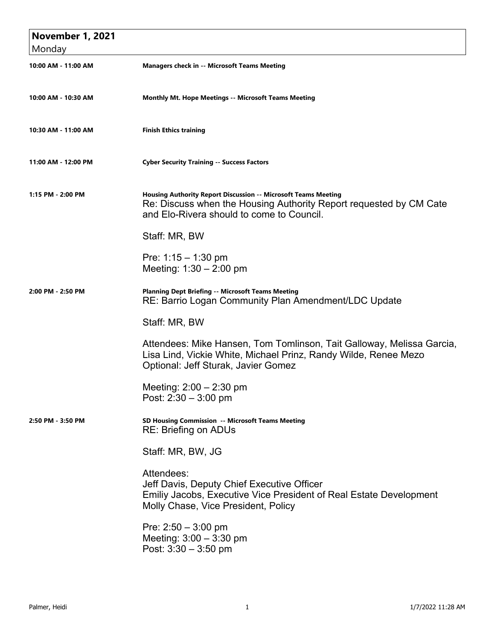| <b>November 1, 2021</b> |                                                                                                                                                                                          |
|-------------------------|------------------------------------------------------------------------------------------------------------------------------------------------------------------------------------------|
| Monday                  |                                                                                                                                                                                          |
| 10:00 AM - 11:00 AM     | <b>Managers check in -- Microsoft Teams Meeting</b>                                                                                                                                      |
| 10:00 AM - 10:30 AM     | Monthly Mt. Hope Meetings -- Microsoft Teams Meeting                                                                                                                                     |
| 10:30 AM - 11:00 AM     | <b>Finish Ethics training</b>                                                                                                                                                            |
| 11:00 AM - 12:00 PM     | <b>Cyber Security Training -- Success Factors</b>                                                                                                                                        |
| 1:15 PM - 2:00 PM       | <b>Housing Authority Report Discussion -- Microsoft Teams Meeting</b><br>Re: Discuss when the Housing Authority Report requested by CM Cate<br>and Elo-Rivera should to come to Council. |
|                         | Staff: MR, BW                                                                                                                                                                            |
|                         | Pre: $1:15 - 1:30$ pm<br>Meeting: $1:30 - 2:00$ pm                                                                                                                                       |
| 2:00 PM - 2:50 PM       | <b>Planning Dept Briefing -- Microsoft Teams Meeting</b><br>RE: Barrio Logan Community Plan Amendment/LDC Update                                                                         |
|                         | Staff: MR, BW                                                                                                                                                                            |
|                         | Attendees: Mike Hansen, Tom Tomlinson, Tait Galloway, Melissa Garcia,<br>Lisa Lind, Vickie White, Michael Prinz, Randy Wilde, Renee Mezo<br>Optional: Jeff Sturak, Javier Gomez          |
|                         | Meeting: $2:00 - 2:30$ pm<br>Post: $2:30 - 3:00$ pm                                                                                                                                      |
| 2:50 PM - 3:50 PM       | SD Housing Commission -- Microsoft Teams Meeting<br><b>RE: Briefing on ADUs</b>                                                                                                          |
|                         | Staff: MR, BW, JG                                                                                                                                                                        |
|                         | Attendees:<br>Jeff Davis, Deputy Chief Executive Officer<br>Emiliy Jacobs, Executive Vice President of Real Estate Development<br>Molly Chase, Vice President, Policy                    |
|                         | Pre: $2:50 - 3:00$ pm<br>Meeting: $3:00 - 3:30$ pm<br>Post: $3:30 - 3:50$ pm                                                                                                             |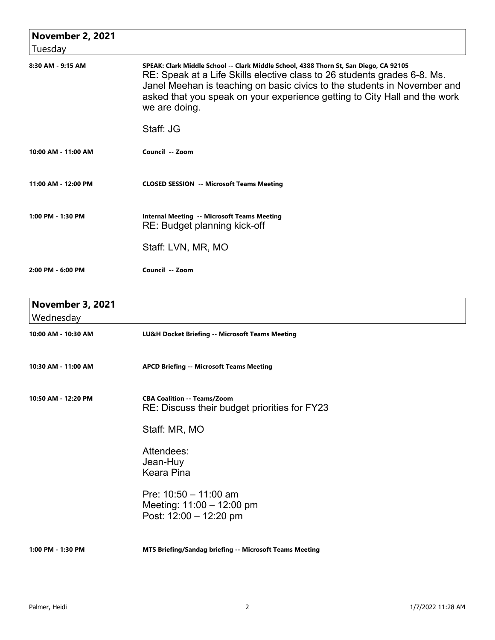| <b>November 2, 2021</b>              |                                                                                                                                                                                                                                                                                                                                             |
|--------------------------------------|---------------------------------------------------------------------------------------------------------------------------------------------------------------------------------------------------------------------------------------------------------------------------------------------------------------------------------------------|
| Tuesday                              |                                                                                                                                                                                                                                                                                                                                             |
| 8:30 AM - 9:15 AM                    | SPEAK: Clark Middle School -- Clark Middle School, 4388 Thorn St, San Diego, CA 92105<br>RE: Speak at a Life Skills elective class to 26 students grades 6-8. Ms.<br>Janel Meehan is teaching on basic civics to the students in November and<br>asked that you speak on your experience getting to City Hall and the work<br>we are doing. |
|                                      | Staff: JG                                                                                                                                                                                                                                                                                                                                   |
| 10:00 AM - 11:00 AM                  | Council -- Zoom                                                                                                                                                                                                                                                                                                                             |
| 11:00 AM - 12:00 PM                  | <b>CLOSED SESSION -- Microsoft Teams Meeting</b>                                                                                                                                                                                                                                                                                            |
| 1:00 PM - 1:30 PM                    | <b>Internal Meeting -- Microsoft Teams Meeting</b><br>RE: Budget planning kick-off                                                                                                                                                                                                                                                          |
|                                      | Staff: LVN, MR, MO                                                                                                                                                                                                                                                                                                                          |
| 2:00 PM - 6:00 PM                    | Council -- Zoom                                                                                                                                                                                                                                                                                                                             |
| <b>November 3, 2021</b><br>Wednesday |                                                                                                                                                                                                                                                                                                                                             |
| 10:00 AM - 10:30 AM                  | LU&H Docket Briefing -- Microsoft Teams Meeting                                                                                                                                                                                                                                                                                             |

**10:30 AM - 11:00 AM APCD Briefing -- Microsoft Teams Meeting**

**10:50 AM - 12:20 PM CBA Coalition -- Teams/Zoom** RE: Discuss their budget priorities for FY23

Staff: MR, MO

Attendees: Jean-Huy Keara Pina

Pre: 10:50 – 11:00 am Meeting: 11:00 – 12:00 pm Post: 12:00 – 12:20 pm

**1:00 PM - 1:30 PM MTS Briefing/Sandag briefing -- Microsoft Teams Meeting**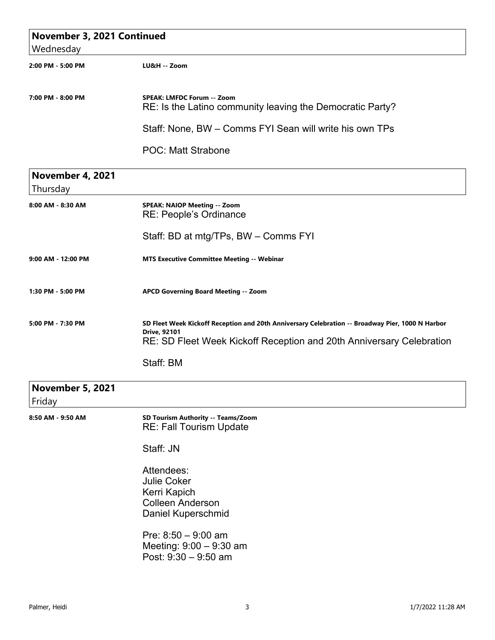| November 3, 2021 Continued        |                                                                                                                                                                                                 |
|-----------------------------------|-------------------------------------------------------------------------------------------------------------------------------------------------------------------------------------------------|
| Wednesday                         |                                                                                                                                                                                                 |
| 2:00 PM - 5:00 PM                 | LU&H -- Zoom                                                                                                                                                                                    |
| 7:00 PM - 8:00 PM                 | <b>SPEAK: LMFDC Forum -- Zoom</b><br>RE: Is the Latino community leaving the Democratic Party?                                                                                                  |
|                                   | Staff: None, BW – Comms FYI Sean will write his own TPs                                                                                                                                         |
|                                   | <b>POC: Matt Strabone</b>                                                                                                                                                                       |
| November 4, 2021<br>Thursday      |                                                                                                                                                                                                 |
| 8:00 AM - 8:30 AM                 | <b>SPEAK: NAIOP Meeting -- Zoom</b><br><b>RE: People's Ordinance</b>                                                                                                                            |
|                                   | Staff: BD at mtg/TPs, BW - Comms FYI                                                                                                                                                            |
| 9:00 AM - 12:00 PM                | MTS Executive Committee Meeting -- Webinar                                                                                                                                                      |
| 1:30 PM - 5:00 PM                 | APCD Governing Board Meeting -- Zoom                                                                                                                                                            |
| 5:00 PM - 7:30 PM                 | SD Fleet Week Kickoff Reception and 20th Anniversary Celebration -- Broadway Pier, 1000 N Harbor<br><b>Drive, 92101</b><br>RE: SD Fleet Week Kickoff Reception and 20th Anniversary Celebration |
|                                   | Staff: BM                                                                                                                                                                                       |
| <b>November 5, 2021</b><br>Friday |                                                                                                                                                                                                 |
| 8:50 AM - 9:50 AM                 | SD Tourism Authority -- Teams/Zoom<br>RE: Fall Tourism Update                                                                                                                                   |
|                                   | Staff: JN                                                                                                                                                                                       |
|                                   | Attendees:<br><b>Julie Coker</b><br>Kerri Kapich<br><b>Colleen Anderson</b><br>Daniel Kuperschmid                                                                                               |
|                                   | Pre: $8:50 - 9:00$ am<br>Meeting: $9:00 - 9:30$ am<br>Post: 9:30 - 9:50 am                                                                                                                      |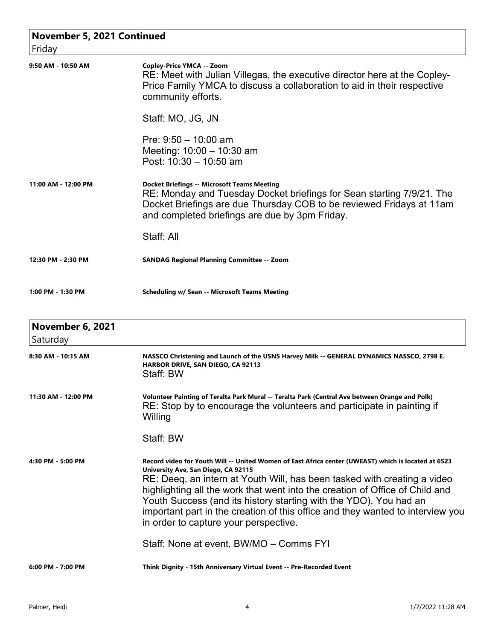| November 5, 2021 Continued<br>Friday |                                                                                                                                                                                                                                                                                                                                                                                                                                                                                                        |
|--------------------------------------|--------------------------------------------------------------------------------------------------------------------------------------------------------------------------------------------------------------------------------------------------------------------------------------------------------------------------------------------------------------------------------------------------------------------------------------------------------------------------------------------------------|
| 9:50 AM - 10:50 AM                   | Copley-Price YMCA -- Zoom<br>RE: Meet with Julian Villegas, the executive director here at the Copley-<br>Price Family YMCA to discuss a collaboration to aid in their respective<br>community efforts.                                                                                                                                                                                                                                                                                                |
|                                      | Staff: MO, JG, JN                                                                                                                                                                                                                                                                                                                                                                                                                                                                                      |
|                                      | Pre: $9:50 - 10:00$ am<br>Meeting: $10:00 - 10:30$ am<br>Post: $10:30 - 10:50$ am                                                                                                                                                                                                                                                                                                                                                                                                                      |
| 11:00 AM - 12:00 PM                  | <b>Docket Briefings -- Microsoft Teams Meeting</b><br>RE: Monday and Tuesday Docket briefings for Sean starting 7/9/21. The<br>Docket Briefings are due Thursday COB to be reviewed Fridays at 11am<br>and completed briefings are due by 3pm Friday.                                                                                                                                                                                                                                                  |
|                                      | Staff: All                                                                                                                                                                                                                                                                                                                                                                                                                                                                                             |
| 12:30 PM - 2:30 PM                   | <b>SANDAG Regional Planning Committee -- Zoom</b>                                                                                                                                                                                                                                                                                                                                                                                                                                                      |
| 1:00 PM - 1:30 PM                    | <b>Scheduling w/ Sean -- Microsoft Teams Meeting</b>                                                                                                                                                                                                                                                                                                                                                                                                                                                   |
| <b>November 6, 2021</b><br>Saturday  |                                                                                                                                                                                                                                                                                                                                                                                                                                                                                                        |
| 8:30 AM - 10:15 AM                   | NASSCO Christening and Launch of the USNS Harvey Milk -- GENERAL DYNAMICS NASSCO, 2798 E.<br>HARBOR DRIVE, SAN DIEGO, CA 92113<br>Staff: BW                                                                                                                                                                                                                                                                                                                                                            |
| 11:30 AM - 12:00 PM                  | Volunteer Painting of Teralta Park Mural -- Teralta Park (Central Ave between Orange and Polk)<br>RE: Stop by to encourage the volunteers and participate in painting if<br>Willing                                                                                                                                                                                                                                                                                                                    |
|                                      | Staff: BW                                                                                                                                                                                                                                                                                                                                                                                                                                                                                              |
| 4:30 PM - 5:00 PM                    | Record video for Youth Will -- United Women of East Africa center (UWEAST) which is located at 6523<br>University Ave, San Diego, CA 92115<br>RE: Deeq, an intern at Youth Will, has been tasked with creating a video<br>highlighting all the work that went into the creation of Office of Child and<br>Youth Success (and its history starting with the YDO). You had an<br>important part in the creation of this office and they wanted to interview you<br>in order to capture your perspective. |
|                                      | Staff: None at event, BW/MO - Comms FYI                                                                                                                                                                                                                                                                                                                                                                                                                                                                |
| 6:00 PM - 7:00 PM                    | Think Dignity - 15th Anniversary Virtual Event -- Pre-Recorded Event                                                                                                                                                                                                                                                                                                                                                                                                                                   |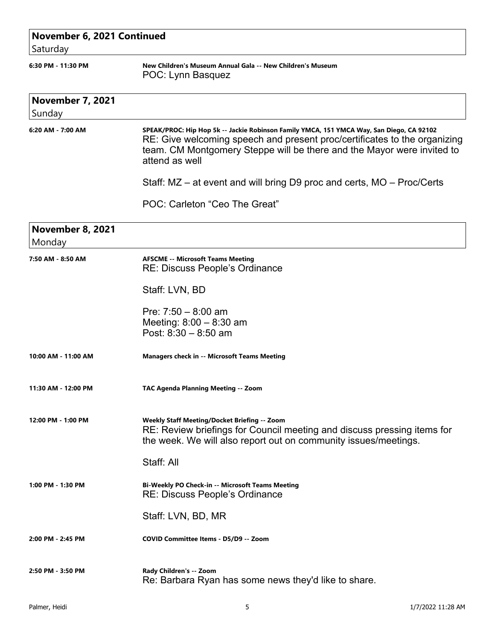| November 6, 2021 Continued<br>Saturday |                                                                                                                                                                                                                                                                   |
|----------------------------------------|-------------------------------------------------------------------------------------------------------------------------------------------------------------------------------------------------------------------------------------------------------------------|
| 6:30 PM - 11:30 PM                     | New Children's Museum Annual Gala -- New Children's Museum<br>POC: Lynn Basquez                                                                                                                                                                                   |
| <b>November 7, 2021</b><br>Sunday      |                                                                                                                                                                                                                                                                   |
| 6:20 AM - 7:00 AM                      | SPEAK/PROC: Hip Hop 5k -- Jackie Robinson Family YMCA, 151 YMCA Way, San Diego, CA 92102<br>RE: Give welcoming speech and present proc/certificates to the organizing<br>team. CM Montgomery Steppe will be there and the Mayor were invited to<br>attend as well |
|                                        | Staff: MZ – at event and will bring D9 proc and certs, MO – Proc/Certs                                                                                                                                                                                            |
|                                        | POC: Carleton "Ceo The Great"                                                                                                                                                                                                                                     |
| November 8, 2021<br>Monday             |                                                                                                                                                                                                                                                                   |
| 7:50 AM - 8:50 AM                      | <b>AFSCME -- Microsoft Teams Meeting</b><br>RE: Discuss People's Ordinance                                                                                                                                                                                        |
|                                        | Staff: LVN, BD                                                                                                                                                                                                                                                    |
|                                        | Pre: $7:50 - 8:00$ am<br>Meeting: $8:00 - 8:30$ am<br>Post: $8:30 - 8:50$ am                                                                                                                                                                                      |
| 10:00 AM - 11:00 AM                    | <b>Managers check in -- Microsoft Teams Meeting</b>                                                                                                                                                                                                               |
| 11:30 AM - 12:00 PM                    | <b>TAC Agenda Planning Meeting -- Zoom</b>                                                                                                                                                                                                                        |
| 12:00 PM - 1:00 PM                     | <b>Weekly Staff Meeting/Docket Briefing -- Zoom</b><br>RE: Review briefings for Council meeting and discuss pressing items for<br>the week. We will also report out on community issues/meetings.                                                                 |
|                                        | Staff: All                                                                                                                                                                                                                                                        |
| 1:00 PM - 1:30 PM                      | Bi-Weekly PO Check-in -- Microsoft Teams Meeting<br>RE: Discuss People's Ordinance                                                                                                                                                                                |
|                                        | Staff: LVN, BD, MR                                                                                                                                                                                                                                                |
| 2:00 PM - 2:45 PM                      | COVID Committee Items - D5/D9 -- Zoom                                                                                                                                                                                                                             |
| 2:50 PM - 3:50 PM                      | Rady Children's -- Zoom<br>Re: Barbara Ryan has some news they'd like to share.                                                                                                                                                                                   |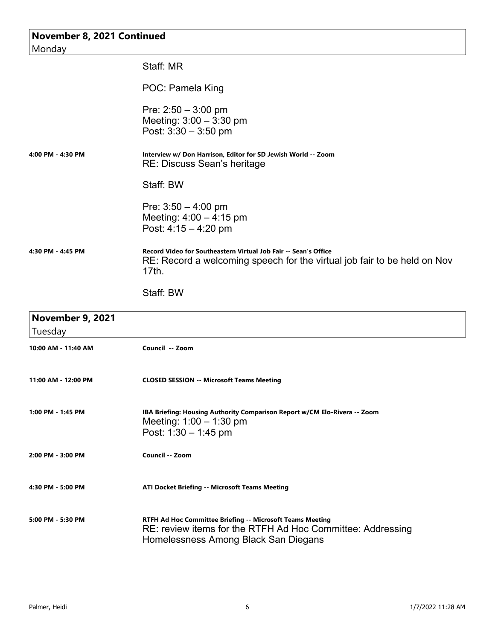| November 8, 2021 Continued<br>Monday |                                                                                                                                                      |
|--------------------------------------|------------------------------------------------------------------------------------------------------------------------------------------------------|
|                                      | Staff: MR                                                                                                                                            |
|                                      | POC: Pamela King                                                                                                                                     |
|                                      | Pre: $2:50 - 3:00$ pm<br>Meeting: $3:00 - 3:30$ pm<br>Post: $3:30 - 3:50$ pm                                                                         |
| 4:00 PM - 4:30 PM                    | Interview w/ Don Harrison, Editor for SD Jewish World -- Zoom<br>RE: Discuss Sean's heritage                                                         |
|                                      | Staff: BW                                                                                                                                            |
|                                      | Pre: $3:50 - 4:00$ pm<br>Meeting: $4:00 - 4:15$ pm<br>Post: $4:15 - 4:20$ pm                                                                         |
| 4:30 PM - 4:45 PM                    | Record Video for Southeastern Virtual Job Fair -- Sean's Office<br>RE: Record a welcoming speech for the virtual job fair to be held on Nov<br>17th. |
|                                      | Staff: BW                                                                                                                                            |
| <b>November 9, 2021</b><br>Tuesday   |                                                                                                                                                      |
| 10:00 AM - 11:40 AM                  | Council -- Zoom                                                                                                                                      |
| 11:00 AM - 12:00 PM                  | <b>CLOSED SESSION -- Microsoft Teams Meeting</b>                                                                                                     |

| 1:00 PM - 1:45 PM | IBA Briefing: Housing Authority Comparison Report w/CM Elo-Rivera -- Zoom |
|-------------------|---------------------------------------------------------------------------|
|                   | Meeting: $1:00 - 1:30$ pm                                                 |
|                   | Post: 1:30 $-$ 1:45 pm                                                    |

- **2:00 PM 3:00 PM Council -- Zoom**
	- **4:30 PM 5:00 PM ATI Docket Briefing -- Microsoft Teams Meeting 5:00 PM - 5:30 PM RTFH Ad Hoc Committee Briefing -- Microsoft Teams Meeting** RE: review items for the RTFH Ad Hoc Committee: Addressing Homelessness Among Black San Diegans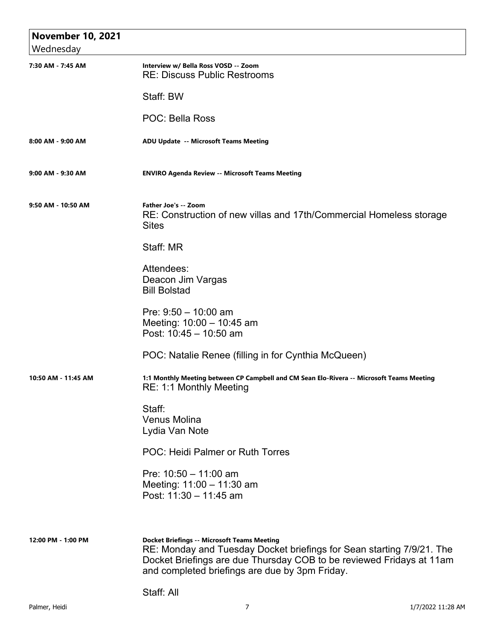| <b>November 10, 2021</b> |                                                                                                                                                                                                                                                       |
|--------------------------|-------------------------------------------------------------------------------------------------------------------------------------------------------------------------------------------------------------------------------------------------------|
| Wednesday                |                                                                                                                                                                                                                                                       |
| 7:30 AM - 7:45 AM        | Interview w/ Bella Ross VOSD -- Zoom<br><b>RE: Discuss Public Restrooms</b>                                                                                                                                                                           |
|                          | Staff: BW                                                                                                                                                                                                                                             |
|                          | <b>POC: Bella Ross</b>                                                                                                                                                                                                                                |
| 8:00 AM - 9:00 AM        | ADU Update -- Microsoft Teams Meeting                                                                                                                                                                                                                 |
| 9:00 AM - 9:30 AM        | <b>ENVIRO Agenda Review -- Microsoft Teams Meeting</b>                                                                                                                                                                                                |
| 9:50 AM - 10:50 AM       | Father Joe's -- Zoom<br>RE: Construction of new villas and 17th/Commercial Homeless storage<br><b>Sites</b>                                                                                                                                           |
|                          | Staff: MR                                                                                                                                                                                                                                             |
|                          | Attendees:<br>Deacon Jim Vargas<br><b>Bill Bolstad</b>                                                                                                                                                                                                |
|                          | Pre: $9:50 - 10:00$ am<br>Meeting: 10:00 - 10:45 am<br>Post: 10:45 - 10:50 am                                                                                                                                                                         |
|                          | POC: Natalie Renee (filling in for Cynthia McQueen)                                                                                                                                                                                                   |
| 10:50 AM - 11:45 AM      | 1:1 Monthly Meeting between CP Campbell and CM Sean Elo-Rivera -- Microsoft Teams Meeting<br>RE: 1:1 Monthly Meeting                                                                                                                                  |
|                          | Staff:<br><b>Venus Molina</b><br>Lydia Van Note                                                                                                                                                                                                       |
|                          | POC: Heidi Palmer or Ruth Torres                                                                                                                                                                                                                      |
|                          | Pre: $10:50 - 11:00$ am<br>Meeting: 11:00 - 11:30 am<br>Post: 11:30 - 11:45 am                                                                                                                                                                        |
|                          |                                                                                                                                                                                                                                                       |
| 12:00 PM - 1:00 PM       | <b>Docket Briefings -- Microsoft Teams Meeting</b><br>RE: Monday and Tuesday Docket briefings for Sean starting 7/9/21. The<br>Docket Briefings are due Thursday COB to be reviewed Fridays at 11am<br>and completed briefings are due by 3pm Friday. |
|                          | Staff: All                                                                                                                                                                                                                                            |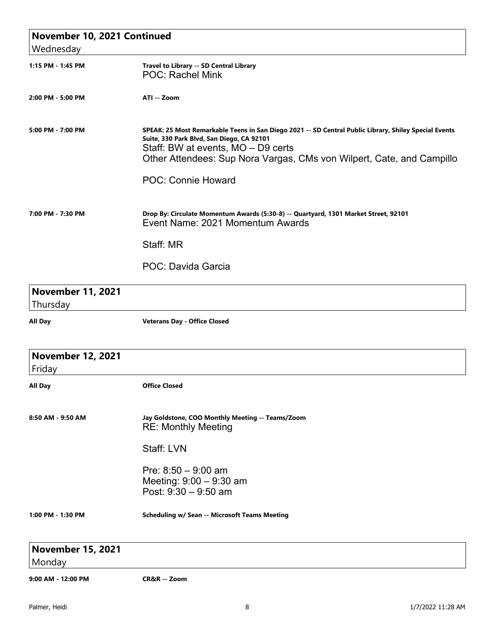| November 10, 2021 Continued          |                                                                                                                                                                                                                                                                                                |
|--------------------------------------|------------------------------------------------------------------------------------------------------------------------------------------------------------------------------------------------------------------------------------------------------------------------------------------------|
| Wednesday                            |                                                                                                                                                                                                                                                                                                |
| 1:15 PM - 1:45 PM                    | Travel to Library -- SD Central Library<br>POC: Rachel Mink                                                                                                                                                                                                                                    |
| 2:00 PM - 5:00 PM                    | ATI -- Zoom                                                                                                                                                                                                                                                                                    |
| 5:00 PM - 7:00 PM                    | SPEAK: 25 Most Remarkable Teens in San Diego 2021 -- SD Central Public Library, Shiley Special Events<br>Suite, 330 Park Blvd, San Diego, CA 92101<br>Staff: BW at events, MO - D9 certs<br>Other Attendees: Sup Nora Vargas, CMs von Wilpert, Cate, and Campillo<br><b>POC: Connie Howard</b> |
| 7:00 PM - 7:30 PM                    | Drop By: Circulate Momentum Awards (5:30-8) -- Quartyard, 1301 Market Street, 92101<br>Event Name: 2021 Momentum Awards                                                                                                                                                                        |
|                                      | Staff: MR                                                                                                                                                                                                                                                                                      |
|                                      | POC: Davida Garcia                                                                                                                                                                                                                                                                             |
| <b>November 11, 2021</b><br>Thursday |                                                                                                                                                                                                                                                                                                |
| <b>All Day</b>                       | <b>Veterans Day - Office Closed</b>                                                                                                                                                                                                                                                            |
| <b>November 12, 2021</b><br>Friday   |                                                                                                                                                                                                                                                                                                |
| All Day                              | <b>Office Closed</b>                                                                                                                                                                                                                                                                           |
| 8:50 AM - 9:50 AM                    | Jay Goldstone, COO Monthly Meeting -- Teams/Zoom<br><b>RE: Monthly Meeting</b>                                                                                                                                                                                                                 |
|                                      | Staff: LVN                                                                                                                                                                                                                                                                                     |
|                                      | Pre: $8:50 - 9:00$ am<br>Meeting: $9:00 - 9:30$ am<br>Post: 9:30 - 9:50 am                                                                                                                                                                                                                     |
| 1:00 PM - 1:30 PM                    | <b>Scheduling w/ Sean -- Microsoft Teams Meeting</b>                                                                                                                                                                                                                                           |
| <b>November 15, 2021</b>             |                                                                                                                                                                                                                                                                                                |
| Monday                               |                                                                                                                                                                                                                                                                                                |
| 9:00 AM - 12:00 PM                   | CR&R -- Zoom                                                                                                                                                                                                                                                                                   |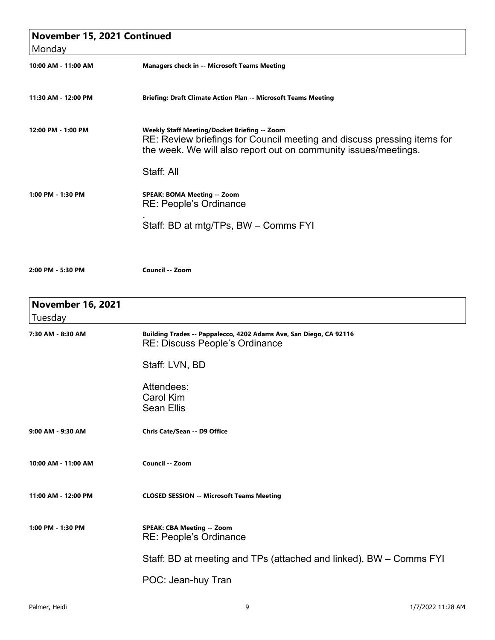| November 15, 2021 Continued         |                                                                                                                                                                                            |
|-------------------------------------|--------------------------------------------------------------------------------------------------------------------------------------------------------------------------------------------|
| Monday                              |                                                                                                                                                                                            |
| 10:00 AM - 11:00 AM                 | <b>Managers check in -- Microsoft Teams Meeting</b>                                                                                                                                        |
| 11:30 AM - 12:00 PM                 | Briefing: Draft Climate Action Plan -- Microsoft Teams Meeting                                                                                                                             |
| 12:00 PM - 1:00 PM                  | Weekly Staff Meeting/Docket Briefing -- Zoom<br>RE: Review briefings for Council meeting and discuss pressing items for<br>the week. We will also report out on community issues/meetings. |
|                                     | Staff: All                                                                                                                                                                                 |
| 1:00 PM - 1:30 PM                   | <b>SPEAK: BOMA Meeting -- Zoom</b><br><b>RE: People's Ordinance</b>                                                                                                                        |
|                                     | Staff: BD at mtg/TPs, BW - Comms FYI                                                                                                                                                       |
| 2:00 PM - 5:30 PM                   | Council -- Zoom                                                                                                                                                                            |
| <b>November 16, 2021</b><br>Tuesday |                                                                                                                                                                                            |
| 7:30 AM - 8:30 AM                   | Building Trades -- Pappalecco, 4202 Adams Ave, San Diego, CA 92116<br><b>RE: Discuss People's Ordinance</b>                                                                                |
|                                     | Staff: LVN, BD                                                                                                                                                                             |
|                                     | Attendees:                                                                                                                                                                                 |
|                                     | <b>Carol Kim</b>                                                                                                                                                                           |
|                                     | <b>Sean Ellis</b>                                                                                                                                                                          |
| 9:00 AM - 9:30 AM                   | Chris Cate/Sean -- D9 Office                                                                                                                                                               |
| 10:00 AM - 11:00 AM                 | Council -- Zoom                                                                                                                                                                            |
| 11:00 AM - 12:00 PM                 | <b>CLOSED SESSION -- Microsoft Teams Meeting</b>                                                                                                                                           |
| 1:00 PM - 1:30 PM                   | <b>SPEAK: CBA Meeting -- Zoom</b><br><b>RE: People's Ordinance</b>                                                                                                                         |
|                                     | Staff: BD at meeting and TPs (attached and linked), BW – Comms FYI                                                                                                                         |
|                                     | POC: Jean-huy Tran                                                                                                                                                                         |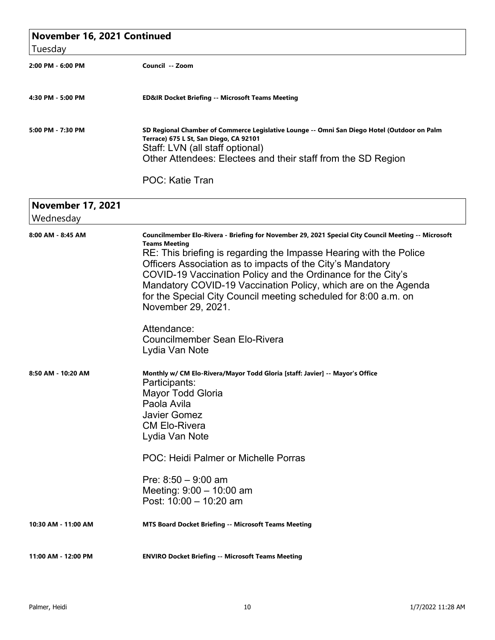| Tuesday                               | November 16, 2021 Continued                                                                                                                                                                                                                                                                                                                                                                                                                                                                                                                                         |  |
|---------------------------------------|---------------------------------------------------------------------------------------------------------------------------------------------------------------------------------------------------------------------------------------------------------------------------------------------------------------------------------------------------------------------------------------------------------------------------------------------------------------------------------------------------------------------------------------------------------------------|--|
| 2:00 PM - 6:00 PM                     | Council -- Zoom                                                                                                                                                                                                                                                                                                                                                                                                                                                                                                                                                     |  |
| 4:30 PM - 5:00 PM                     | <b>ED&amp;IR Docket Briefing -- Microsoft Teams Meeting</b>                                                                                                                                                                                                                                                                                                                                                                                                                                                                                                         |  |
| 5:00 PM - 7:30 PM                     | SD Regional Chamber of Commerce Legislative Lounge -- Omni San Diego Hotel (Outdoor on Palm<br>Terrace) 675 L St, San Diego, CA 92101<br>Staff: LVN (all staff optional)<br>Other Attendees: Electees and their staff from the SD Region                                                                                                                                                                                                                                                                                                                            |  |
|                                       | <b>POC: Katie Tran</b>                                                                                                                                                                                                                                                                                                                                                                                                                                                                                                                                              |  |
| <b>November 17, 2021</b><br>Wednesday |                                                                                                                                                                                                                                                                                                                                                                                                                                                                                                                                                                     |  |
| 8:00 AM - 8:45 AM                     | Councilmember Elo-Rivera - Briefing for November 29, 2021 Special City Council Meeting -- Microsoft<br><b>Teams Meeting</b><br>RE: This briefing is regarding the Impasse Hearing with the Police<br>Officers Association as to impacts of the City's Mandatory<br>COVID-19 Vaccination Policy and the Ordinance for the City's<br>Mandatory COVID-19 Vaccination Policy, which are on the Agenda<br>for the Special City Council meeting scheduled for 8:00 a.m. on<br>November 29, 2021.<br>Attendance:<br><b>Councilmember Sean Elo-Rivera</b><br>Lydia Van Note |  |
| 8:50 AM - 10:20 AM                    | Monthly w/ CM Elo-Rivera/Mayor Todd Gloria [staff: Javier] -- Mayor's Office<br>Participants:<br><b>Mayor Todd Gloria</b><br>Paola Avila<br><b>Javier Gomez</b><br><b>CM Elo-Rivera</b><br>Lydia Van Note<br>POC: Heidi Palmer or Michelle Porras<br>Pre: $8:50 - 9:00$ am<br>Meeting: 9:00 - 10:00 am<br>Post: 10:00 - 10:20 am                                                                                                                                                                                                                                    |  |
| 10:30 AM - 11:00 AM                   | <b>MTS Board Docket Briefing -- Microsoft Teams Meeting</b>                                                                                                                                                                                                                                                                                                                                                                                                                                                                                                         |  |

**11:00 AM - 12:00 PM ENVIRO Docket Briefing -- Microsoft Teams Meeting**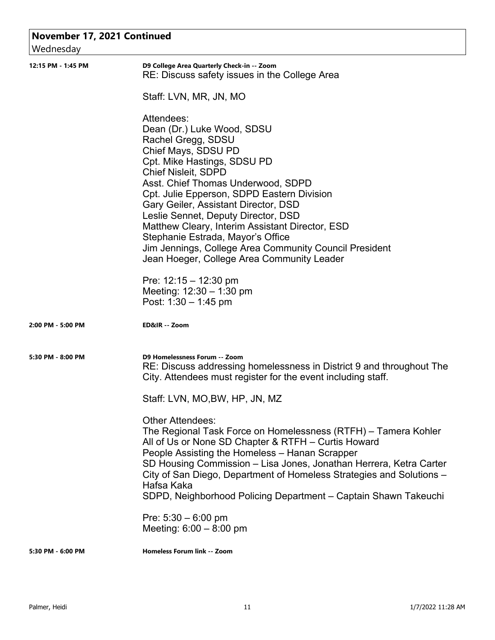| November 17, 2021 Continued |                                                                                                                                                                                                                                                                                                                                                                                                                                                                                                                       |
|-----------------------------|-----------------------------------------------------------------------------------------------------------------------------------------------------------------------------------------------------------------------------------------------------------------------------------------------------------------------------------------------------------------------------------------------------------------------------------------------------------------------------------------------------------------------|
| Wednesday                   |                                                                                                                                                                                                                                                                                                                                                                                                                                                                                                                       |
| 12:15 PM - 1:45 PM          | D9 College Area Quarterly Check-in -- Zoom<br>RE: Discuss safety issues in the College Area                                                                                                                                                                                                                                                                                                                                                                                                                           |
|                             | Staff: LVN, MR, JN, MO                                                                                                                                                                                                                                                                                                                                                                                                                                                                                                |
|                             | Attendees:<br>Dean (Dr.) Luke Wood, SDSU<br>Rachel Gregg, SDSU<br>Chief Mays, SDSU PD<br>Cpt. Mike Hastings, SDSU PD<br><b>Chief Nisleit, SDPD</b><br>Asst. Chief Thomas Underwood, SDPD<br>Cpt. Julie Epperson, SDPD Eastern Division<br>Gary Geiler, Assistant Director, DSD<br>Leslie Sennet, Deputy Director, DSD<br>Matthew Cleary, Interim Assistant Director, ESD<br>Stephanie Estrada, Mayor's Office<br>Jim Jennings, College Area Community Council President<br>Jean Hoeger, College Area Community Leader |
|                             | Pre: $12:15 - 12:30$ pm<br>Meeting: $12:30 - 1:30$ pm<br>Post: $1:30 - 1:45$ pm                                                                                                                                                                                                                                                                                                                                                                                                                                       |
| 2:00 PM - 5:00 PM           | ED&IR -- Zoom                                                                                                                                                                                                                                                                                                                                                                                                                                                                                                         |
| 5:30 PM - 8:00 PM           | D9 Homelessness Forum -- Zoom<br>RE: Discuss addressing homelessness in District 9 and throughout The<br>City. Attendees must register for the event including staff.                                                                                                                                                                                                                                                                                                                                                 |
|                             | Staff: LVN, MO,BW, HP, JN, MZ                                                                                                                                                                                                                                                                                                                                                                                                                                                                                         |
|                             | <b>Other Attendees:</b><br>The Regional Task Force on Homelessness (RTFH) – Tamera Kohler<br>All of Us or None SD Chapter & RTFH - Curtis Howard<br>People Assisting the Homeless - Hanan Scrapper<br>SD Housing Commission - Lisa Jones, Jonathan Herrera, Ketra Carter<br>City of San Diego, Department of Homeless Strategies and Solutions -<br>Hafsa Kaka<br>SDPD, Neighborhood Policing Department - Captain Shawn Takeuchi                                                                                     |
|                             | Pre: $5:30 - 6:00$ pm<br>Meeting: $6:00 - 8:00$ pm                                                                                                                                                                                                                                                                                                                                                                                                                                                                    |
| 5:30 PM - 6:00 PM           | <b>Homeless Forum link -- Zoom</b>                                                                                                                                                                                                                                                                                                                                                                                                                                                                                    |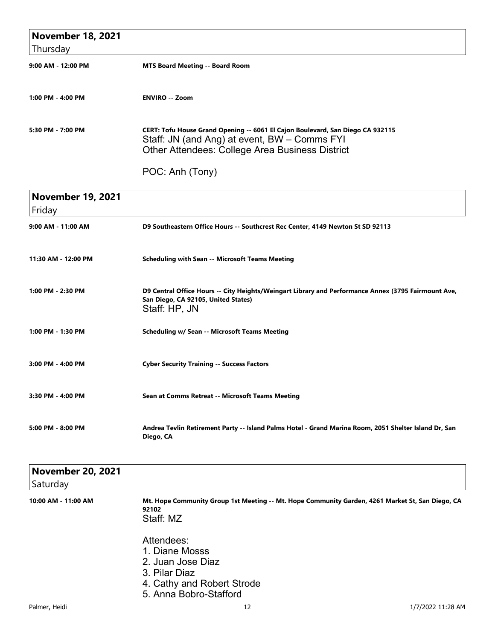| <b>November 18, 2021</b> |                                                                                                                                                                                          |
|--------------------------|------------------------------------------------------------------------------------------------------------------------------------------------------------------------------------------|
| Thursday                 |                                                                                                                                                                                          |
| 9:00 AM - 12:00 PM       | <b>MTS Board Meeting -- Board Room</b>                                                                                                                                                   |
| 1:00 PM - 4:00 PM        | <b>ENVIRO -- Zoom</b>                                                                                                                                                                    |
| 5:30 PM - 7:00 PM        | CERT: Tofu House Grand Opening -- 6061 El Cajon Boulevard, San Diego CA 932115<br>Staff: JN (and Ang) at event, BW - Comms FYI<br><b>Other Attendees: College Area Business District</b> |
|                          | POC: Anh (Tony)                                                                                                                                                                          |

| <b>November 19, 2021</b><br>Friday |                                                                                                                                                             |
|------------------------------------|-------------------------------------------------------------------------------------------------------------------------------------------------------------|
| 9:00 AM - 11:00 AM                 | D9 Southeastern Office Hours -- Southcrest Rec Center, 4149 Newton St SD 92113                                                                              |
| 11:30 AM - 12:00 PM                | <b>Scheduling with Sean -- Microsoft Teams Meeting</b>                                                                                                      |
| 1:00 PM - 2:30 PM                  | D9 Central Office Hours -- City Heights/Weingart Library and Performance Annex (3795 Fairmount Ave,<br>San Diego, CA 92105, United States)<br>Staff: HP, JN |
| 1:00 PM - 1:30 PM                  | <b>Scheduling w/ Sean -- Microsoft Teams Meeting</b>                                                                                                        |
| 3:00 PM - 4:00 PM                  | <b>Cyber Security Training -- Success Factors</b>                                                                                                           |
| 3:30 PM - 4:00 PM                  | Sean at Comms Retreat -- Microsoft Teams Meeting                                                                                                            |
| 5:00 PM - 8:00 PM                  | Andrea Tevlin Retirement Party -- Island Palms Hotel - Grand Marina Room, 2051 Shelter Island Dr, San<br>Diego, CA                                          |

| <b>November 20, 2021</b> |                                                                                                                        |
|--------------------------|------------------------------------------------------------------------------------------------------------------------|
| Saturday                 |                                                                                                                        |
| 10:00 AM - 11:00 AM      | Mt. Hope Community Group 1st Meeting -- Mt. Hope Community Garden, 4261 Market St, San Diego, CA<br>92102<br>Staff: MZ |
|                          | Attendees:<br>1. Diane Mosss<br>2. Juan Jose Diaz<br>3. Pilar Diaz<br>4. Cathy and Robert Strode<br>- . - . <i>.</i>   |

5. Anna Bobro-Stafford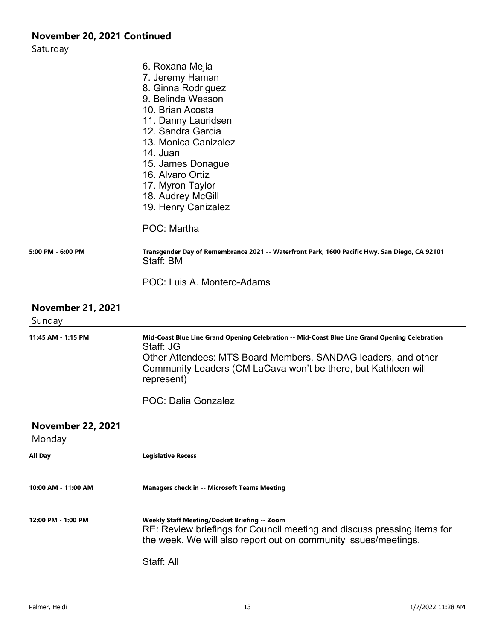| November 20, 2021 Continued |                                                                                                                                               |
|-----------------------------|-----------------------------------------------------------------------------------------------------------------------------------------------|
| Saturday                    |                                                                                                                                               |
|                             | 6. Roxana Mejia                                                                                                                               |
|                             | 7. Jeremy Haman                                                                                                                               |
|                             | 8. Ginna Rodriguez                                                                                                                            |
|                             | 9. Belinda Wesson                                                                                                                             |
|                             | 10. Brian Acosta                                                                                                                              |
|                             | 11. Danny Lauridsen                                                                                                                           |
|                             | 12. Sandra Garcia                                                                                                                             |
|                             | 13. Monica Canizalez                                                                                                                          |
|                             | 14. Juan                                                                                                                                      |
|                             | 15. James Donague                                                                                                                             |
|                             | 16. Alvaro Ortiz                                                                                                                              |
|                             | 17. Myron Taylor                                                                                                                              |
|                             | 18. Audrey McGill                                                                                                                             |
|                             | 19. Henry Canizalez                                                                                                                           |
|                             | POC: Martha                                                                                                                                   |
| 5:00 PM - 6:00 PM           | Transgender Day of Remembrance 2021 -- Waterfront Park, 1600 Pacific Hwy. San Diego, CA 92101<br>Staff: BM                                    |
|                             | POC: Luis A. Montero-Adams                                                                                                                    |
| <b>November 21, 2021</b>    |                                                                                                                                               |
| Sunday                      |                                                                                                                                               |
| 11:45 AM - 1:15 PM          | Mid-Coast Blue Line Grand Opening Celebration -- Mid-Coast Blue Line Grand Opening Celebration<br>Staff: JG                                   |
|                             | Other Attendees: MTS Board Members, SANDAG leaders, and other<br>Community Leaders (CM LaCava won't be there, but Kathleen will<br>represent) |
|                             | <b>POC: Dalia Gonzalez</b>                                                                                                                    |

| <b>November 22, 2021</b><br>Monday |                                                                                                                                                                                            |
|------------------------------------|--------------------------------------------------------------------------------------------------------------------------------------------------------------------------------------------|
| All Day                            | <b>Legislative Recess</b>                                                                                                                                                                  |
| 10:00 AM - 11:00 AM                | <b>Managers check in -- Microsoft Teams Meeting</b>                                                                                                                                        |
| 12:00 PM - 1:00 PM                 | Weekly Staff Meeting/Docket Briefing -- Zoom<br>RE: Review briefings for Council meeting and discuss pressing items for<br>the week. We will also report out on community issues/meetings. |
|                                    | Staff: All                                                                                                                                                                                 |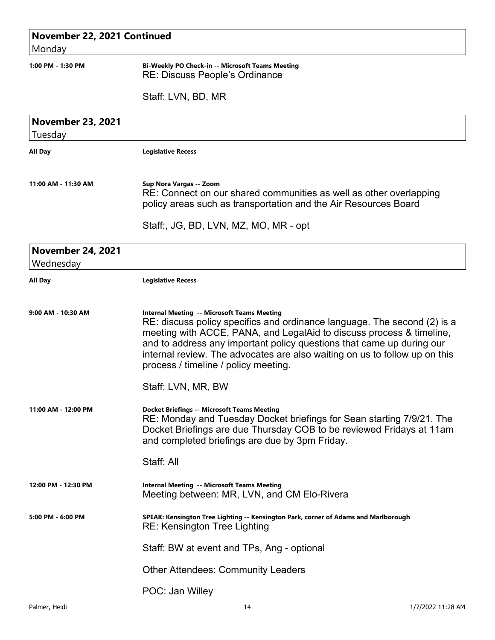## **November 22, 2021 Continued**

Monday

## **1:00 PM - 1:30 PM Bi-Weekly PO Check-in -- Microsoft Teams Meeting** RE: Discuss People's Ordinance

Staff: LVN, BD, MR

| <b>November 23, 2021</b><br>Tuesday   |                                                                                                                                                                                                                                                                                                                                                                                                       |
|---------------------------------------|-------------------------------------------------------------------------------------------------------------------------------------------------------------------------------------------------------------------------------------------------------------------------------------------------------------------------------------------------------------------------------------------------------|
| <b>All Day</b>                        | <b>Legislative Recess</b>                                                                                                                                                                                                                                                                                                                                                                             |
| 11:00 AM - 11:30 AM                   | Sup Nora Vargas -- Zoom<br>RE: Connect on our shared communities as well as other overlapping<br>policy areas such as transportation and the Air Resources Board                                                                                                                                                                                                                                      |
|                                       | Staff:, JG, BD, LVN, MZ, MO, MR - opt                                                                                                                                                                                                                                                                                                                                                                 |
| <b>November 24, 2021</b><br>Wednesday |                                                                                                                                                                                                                                                                                                                                                                                                       |
| All Day                               | <b>Legislative Recess</b>                                                                                                                                                                                                                                                                                                                                                                             |
| 9:00 AM - 10:30 AM                    | <b>Internal Meeting -- Microsoft Teams Meeting</b><br>RE: discuss policy specifics and ordinance language. The second (2) is a<br>meeting with ACCE, PANA, and LegalAid to discuss process & timeline,<br>and to address any important policy questions that came up during our<br>internal review. The advocates are also waiting on us to follow up on this<br>process / timeline / policy meeting. |
|                                       | Staff: LVN, MR, BW                                                                                                                                                                                                                                                                                                                                                                                    |
| 11:00 AM - 12:00 PM                   | <b>Docket Briefings -- Microsoft Teams Meeting</b><br>RE: Monday and Tuesday Docket briefings for Sean starting 7/9/21. The<br>Docket Briefings are due Thursday COB to be reviewed Fridays at 11am<br>and completed briefings are due by 3pm Friday.                                                                                                                                                 |
|                                       | Staff: All                                                                                                                                                                                                                                                                                                                                                                                            |
| 12:00 PM - 12:30 PM                   | <b>Internal Meeting -- Microsoft Teams Meeting</b><br>Meeting between: MR, LVN, and CM Elo-Rivera                                                                                                                                                                                                                                                                                                     |
| 5:00 PM - 6:00 PM                     | SPEAK: Kensington Tree Lighting -- Kensington Park, corner of Adams and Marlborough<br><b>RE: Kensington Tree Lighting</b>                                                                                                                                                                                                                                                                            |
|                                       | Staff: BW at event and TPs, Ang - optional                                                                                                                                                                                                                                                                                                                                                            |
|                                       | <b>Other Attendees: Community Leaders</b>                                                                                                                                                                                                                                                                                                                                                             |
|                                       | POC: Jan Willey                                                                                                                                                                                                                                                                                                                                                                                       |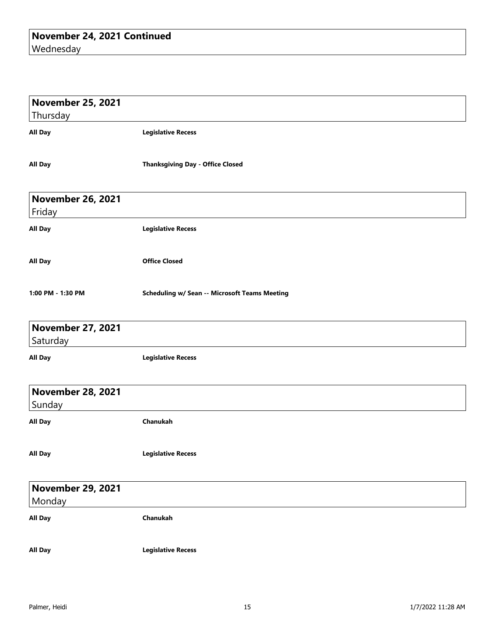| <b>November 25, 2021</b><br>Thursday |                                                      |
|--------------------------------------|------------------------------------------------------|
| <b>All Day</b>                       | <b>Legislative Recess</b>                            |
| All Day                              | <b>Thanksgiving Day - Office Closed</b>              |
| <b>November 26, 2021</b><br>Friday   |                                                      |
| <b>All Day</b>                       | <b>Legislative Recess</b>                            |
| All Day                              | <b>Office Closed</b>                                 |
| 1:00 PM - 1:30 PM                    | <b>Scheduling w/ Sean -- Microsoft Teams Meeting</b> |
| <b>November 27, 2021</b><br>Saturday |                                                      |
| All Day                              | <b>Legislative Recess</b>                            |
| <b>November 28, 2021</b><br>Sunday   |                                                      |
| <b>All Day</b>                       | Chanukah                                             |
| <b>All Day</b>                       | <b>Legislative Recess</b>                            |
| <b>November 29, 2021</b><br>Monday   |                                                      |
| <b>All Day</b>                       | Chanukah                                             |
| <b>All Day</b>                       | <b>Legislative Recess</b>                            |